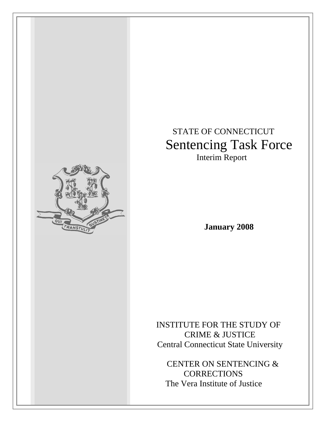# STATE OF CONNECTICUT Sentencing Task Force Interim Report

**January 2008**

 INSTITUTE FOR THE STUDY OF CRIME & JUSTICE Central Connecticut State University

 CENTER ON SENTENCING & **CORRECTIONS** The Vera Institute of Justice

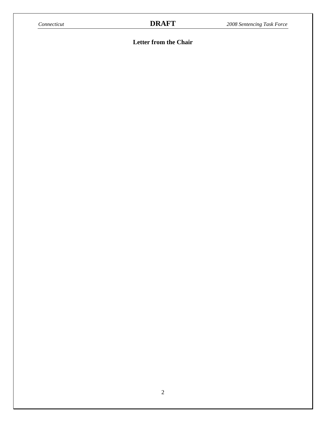# **Letter from the Chair**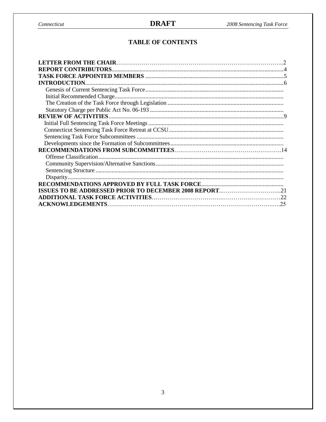# **TABLE OF CONTENTS**

| <b>LETTER FROM THE CHAIR.</b> |  |
|-------------------------------|--|
|                               |  |
|                               |  |
| <b>INTRODUCTION.</b>          |  |
|                               |  |
|                               |  |
|                               |  |
|                               |  |
|                               |  |
|                               |  |
|                               |  |
|                               |  |
|                               |  |
|                               |  |
|                               |  |
|                               |  |
|                               |  |
|                               |  |
|                               |  |
|                               |  |
|                               |  |
| <b>ACKNOWLEDGEMENTS</b><br>25 |  |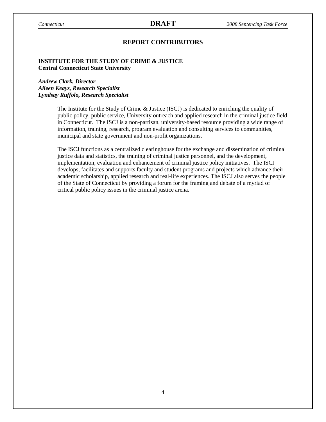### **REPORT CONTRIBUTORS**

#### **INSTITUTE FOR THE STUDY OF CRIME & JUSTICE Central Connecticut State University**

#### *Andrew Clark, Director Aileen Keays, Research Specialist Lyndsay Ruffolo, Research Specialist*

The Institute for the Study of Crime & Justice (ISCJ) is dedicated to enriching the quality of public policy, public service, University outreach and applied research in the criminal justice field in Connecticut. The ISCJ is a non-partisan, university-based resource providing a wide range of information, training, research, program evaluation and consulting services to communities, municipal and state government and non-profit organizations.

The ISCJ functions as a centralized clearinghouse for the exchange and dissemination of criminal justice data and statistics, the training of criminal justice personnel, and the development, implementation, evaluation and enhancement of criminal justice policy initiatives. The ISCJ develops, facilitates and supports faculty and student programs and projects which advance their academic scholarship, applied research and real-life experiences. The ISCJ also serves the people of the State of Connecticut by providing a forum for the framing and debate of a myriad of critical public policy issues in the criminal justice arena.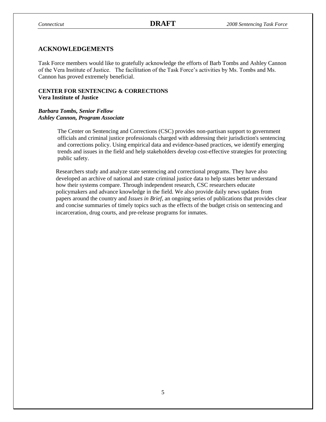#### **ACKNOWLEDGEMENTS**

Task Force members would like to gratefully acknowledge the efforts of Barb Tombs and Ashley Cannon of the Vera Institute of Justice. The facilitation of the Task Force's activities by Ms. Tombs and Ms. Cannon has proved extremely beneficial.

### **CENTER FOR SENTENCING & CORRECTIONS Vera Institute of Justice**

#### *Barbara Tombs, Senior Fellow Ashley Cannon, Program Associate*

The Center on Sentencing and Corrections (CSC) provides non-partisan support to government officials and criminal justice professionals charged with addressing their jurisdiction's sentencing and corrections policy. Using empirical data and evidence-based practices, we identify emerging trends and issues in the field and help stakeholders develop cost-effective strategies for protecting public safety.

Researchers study and analyze state sentencing and correctional programs. They have also developed an archive of national and state criminal justice data to help states better understand how their systems compare. Through independent research, CSC researchers educate policymakers and advance knowledge in the field. We also provide daily news updates from papers around the country and *Issues in Brief*, an ongoing series of publications that provides clear and concise summaries of timely topics such as the effects of the budget crisis on sentencing and incarceration, drug courts, and pre-release programs for inmates.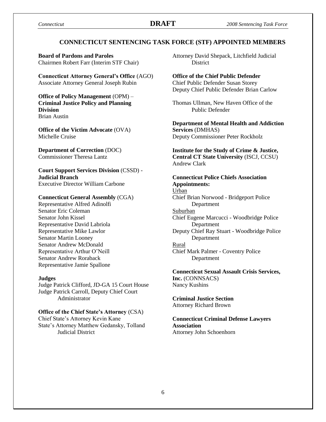### **CONNECTICUT SENTENCING TASK FORCE (STF) APPOINTED MEMBERS**

**Board of Pardons and Paroles**  Chairmen Robert Farr (Interim STF Chair)

**Connecticut Attorney General's Office** (AGO) Associate Attorney General Joseph Rubin

**Office of Policy Management** (OPM) – **Criminal Justice Policy and Planning Division** Brian Austin

**Office of the Victim Advocate** (OVA) Michelle Cruise

**Department of Correction** (DOC) Commissioner Theresa Lantz

**Court Support Services Division** (CSSD) - **Judicial Branch** Executive Director William Carbone

#### **Connecticut General Assembly** (CGA)

Representative Alfred Adinolfi Senator Eric Coleman Senator John Kissel Representative David Labriola Representative Mike Lawlor Senator Martin Looney Senator Andrew McDonald Representative Arthur O'Neill Senator Andrew Roraback Representative Jamie Spallone

#### **Judges**

Judge Patrick Clifford, JD-GA 15 Court House Judge Patrick Carroll, Deputy Chief Court Administrator

**Office of the Chief State's Attorney** (CSA) Chief State's Attorney Kevin Kane

State's Attorney Matthew Gedansky, Tolland Judicial District

Attorney David Shepack, Litchfield Judicial **District** 

**Office of the Chief Public Defender** Chief Public Defender Susan Storey Deputy Chief Public Defender Brian Carlow

Thomas Ullman, New Haven Office of the Public Defender

**Department of Mental Health and Addiction Services** (DMHAS)

Deputy Commissioner Peter Rockholz

**Institute for the Study of Crime & Justice, Central CT State University** (ISCJ, CCSU) Andrew Clark

## **Connecticut Police Chiefs Association Appointments:**

Urban Chief Brian Norwood - Bridgeport Police Department Suburban Chief Eugene Marcucci - Woodbridge Police Department

Deputy Chief Ray Stuart - Woodbridge Police Department

### Rural

Chief Mark Palmer - Coventry Police Department

**Connecticut Sexual Assault Crisis Services, Inc.** (CONNSACS) Nancy Kushins

**Criminal Justice Section** Attorney Richard Brown

#### **Connecticut Criminal Defense Lawyers Association**  Attorney John Schoenhorn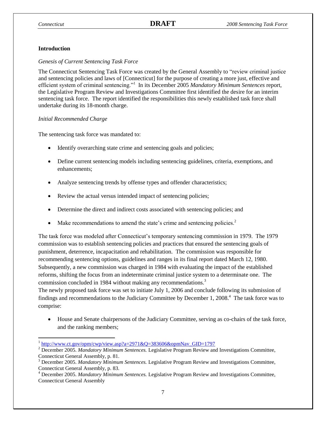### **Introduction**

#### *Genesis of Current Sentencing Task Force*

The Connecticut Sentencing Task Force was created by the General Assembly to "review criminal justice and sentencing policies and laws of [Connecticut] for the purpose of creating a more just, effective and efficient system of criminal sentencing."<sup>1</sup> In its December 2005 Mandatory Minimum Sentences report, the Legislative Program Review and Investigations Committee first identified the desire for an interim sentencing task force. The report identified the responsibilities this newly established task force shall undertake during its 18-month charge.

#### *Initial Recommended Charge*

The sentencing task force was mandated to:

- Identify overarching state crime and sentencing goals and policies;
- Define current sentencing models including sentencing guidelines, criteria, exemptions, and enhancements;
- Analyze sentencing trends by offense types and offender characteristics;
- Review the actual versus intended impact of sentencing policies;
- Determine the direct and indirect costs associated with sentencing policies; and
- Make recommendations to amend the state's crime and sentencing policies.<sup>2</sup>

The task force was modeled after Connecticut's temporary sentencing commission in 1979. The 1979 commission was to establish sentencing policies and practices that ensured the sentencing goals of punishment, deterrence, incapacitation and rehabilitation. The commission was responsible for recommending sentencing options, guidelines and ranges in its final report dated March 12, 1980. Subsequently, a new commission was charged in 1984 with evaluating the impact of the established reforms, shifting the focus from an indeterminate criminal justice system to a determinate one. The commission concluded in 1984 without making any recommendations.<sup>3</sup>

The newly proposed task force was set to initiate July 1, 2006 and conclude following its submission of findings and recommendations to the Judiciary Committee by December 1, 2008.<sup>4</sup> The task force was to comprise:

 House and Senate chairpersons of the Judiciary Committee, serving as co-chairs of the task force, and the ranking members;

<sup>&</sup>lt;sup>1</sup> [http://www.ct.gov/opm/cwp/view.asp?a=2971&Q=383606&opmNav\\_GID=1797](http://www.ct.gov/opm/cwp/view.asp?a=2971&Q=383606&opmNav_GID=1797)

<sup>2</sup> December 2005. *Mandatory Minimum Sentences.* Legislative Program Review and Investigations Committee, Connecticut General Assembly, p. 81.

<sup>3</sup> December 2005. *Mandatory Minimum Sentences.* Legislative Program Review and Investigations Committee, Connecticut General Assembly, p. 83.

<sup>4</sup> December 2005. *Mandatory Minimum Sentences.* Legislative Program Review and Investigations Committee, Connecticut General Assembly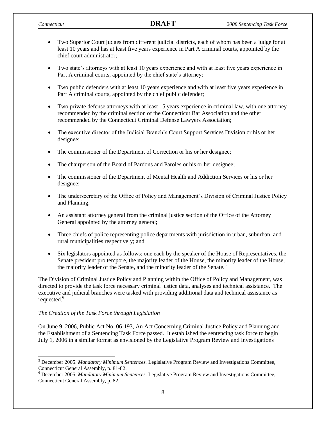- Two Superior Court judges from different judicial districts, each of whom has been a judge for at least 10 years and has at least five years experience in Part A criminal courts, appointed by the chief court administrator;
- Two state's attorneys with at least 10 years experience and with at least five years experience in Part A criminal courts, appointed by the chief state's attorney;
- Two public defenders with at least 10 years experience and with at least five years experience in Part A criminal courts, appointed by the chief public defender;
- Two private defense attorneys with at least 15 years experience in criminal law, with one attorney recommended by the criminal section of the Connecticut Bar Association and the other recommended by the Connecticut Criminal Defense Lawyers Association;
- The executive director of the Judicial Branch's Court Support Services Division or his or her designee;
- The commissioner of the Department of Correction or his or her designee;
- The chairperson of the Board of Pardons and Paroles or his or her designee;
- The commissioner of the Department of Mental Health and Addiction Services or his or her designee;
- The undersecretary of the Office of Policy and Management's Division of Criminal Justice Policy and Planning;
- An assistant attorney general from the criminal justice section of the Office of the Attorney General appointed by the attorney general;
- Three chiefs of police representing police departments with jurisdiction in urban, suburban, and rural municipalities respectively; and
- Six legislators appointed as follows: one each by the speaker of the House of Representatives, the Senate president pro tempore, the majority leader of the House, the minority leader of the House, the majority leader of the Senate, and the minority leader of the Senate.<sup>5</sup>

The Division of Criminal Justice Policy and Planning within the Office of Policy and Management, was directed to provide the task force necessary criminal justice data, analyses and technical assistance. The executive and judicial branches were tasked with providing additional data and technical assistance as requested.<sup>6</sup>

#### *The Creation of the Task Force through Legislation*

 $\overline{\phantom{a}}$ 

On June 9, 2006, Public Act No. 06-193, An Act Concerning Criminal Justice Policy and Planning and the Establishment of a Sentencing Task Force passed. It established the sentencing task force to begin July 1, 2006 in a similar format as envisioned by the Legislative Program Review and Investigations

<sup>5</sup> December 2005. *Mandatory Minimum Sentences.* Legislative Program Review and Investigations Committee, Connecticut General Assembly, p. 81-82.

<sup>6</sup> December 2005. *Mandatory Minimum Sentences.* Legislative Program Review and Investigations Committee, Connecticut General Assembly, p. 82.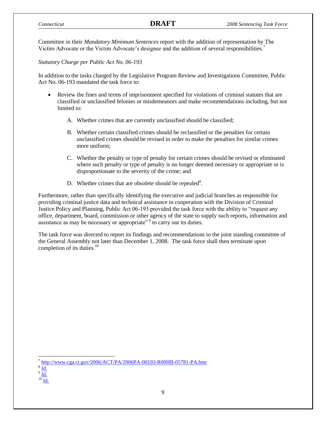Committee in their *Mandatory Minimum Sentences* report with the addition of representation by The Victim Advocate or the Victim Advocate's designee and the addition of several responsibilities.<sup>7</sup>

*Statutory Charge per Public Act No. 06-193*

In addition to the tasks charged by the Legislative Program Review and Investigations Committee, Public Act No. 06-193 mandated the task force to:

- Review the fines and terms of imprisonment specified for violations of criminal statutes that are classified or unclassified felonies or misdemeanors and make recommendations including, but not limited to:
	- A. Whether crimes that are currently unclassified should be classified;
	- B. Whether certain classified crimes should be reclassified or the penalties for certain unclassified crimes should be revised in order to make the penalties for similar crimes more uniform;
	- C. Whether the penalty or type of penalty for certain crimes should be revised or eliminated where such penalty or type of penalty is no longer deemed necessary or appropriate or is disproportionate to the severity of the crime; and
	- D. Whether crimes that are obsolete should be repealed $8$ .

Furthermore, rather than specifically identifying the executive and judicial branches as responsible for providing criminal justice data and technical assistance in cooperation with the Division of Criminal Justice Policy and Planning, Public Act 06-193 provided the task force with the ability to "request any office, department, board, commission or other agency of the state to supply such reports, information and assistance as may be necessary or appropriate<sup>" 9</sup> to carry out its duties.

The task force was directed to report its findings and recommendations to the joint standing committee of the General Assembly not later than December 1, 2008. The task force shall then terminate upon completion of its duties. $10$ 

8 [Id.](http://www.cga.ct.gov/2006/ACT/PA/2006PA-00193-R00HB-05781-PA.htm)

 $\overline{\phantom{a}}$ 

 $^{10}$  [Id.](http://www.cga.ct.gov/2006/ACT/PA/2006PA-00193-R00HB-05781-PA.htm)

<sup>&</sup>lt;sup>7</sup> <http://www.cga.ct.gov/2006/ACT/PA/2006PA-00193-R00HB-05781-PA.htm>

<sup>9</sup> [Id.](http://www.cga.ct.gov/2006/ACT/PA/2006PA-00193-R00HB-05781-PA.htm)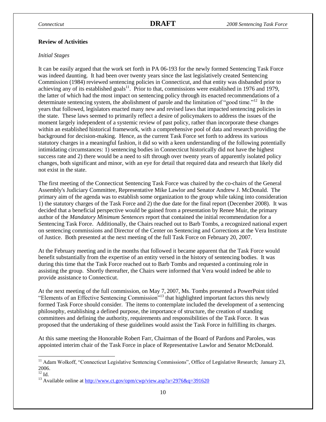#### **Review of Activities**

#### *Initial Stages*

It can be easily argued that the work set forth in PA 06-193 for the newly formed Sentencing Task Force was indeed daunting. It had been over twenty years since the last legislatively created Sentencing Commission (1984) reviewed sentencing policies in Connecticut, and that entity was disbanded prior to achieving any of its established goals<sup>11</sup>. Prior to that, commissions were established in 1976 and 1979, the latter of which had the most impact on sentencing policy through its enacted recommendations of a determinate sentencing system, the abolishment of parole and the limitation of "good time."<sup>12</sup> In the years that followed, legislators enacted many new and revised laws that impacted sentencing policies in the state. These laws seemed to primarily reflect a desire of policymakers to address the issues of the moment largely independent of a systemic review of past policy, rather than incorporate these changes within an established historical framework, with a comprehensive pool of data and research providing the background for decision-making. Hence, as the current Task Force set forth to address its various statutory charges in a meaningful fashion, it did so with a keen understanding of the following potentially intimidating circumstances: 1) sentencing bodies in Connecticut historically did not have the highest success rate and 2) there would be a need to sift through over twenty years of apparently isolated policy changes, both significant and minor, with an eye for detail that required data and research that likely did not exist in the state.

The first meeting of the Connecticut Sentencing Task Force was chaired by the co-chairs of the General Assembly's Judiciary Committee, Representative Mike Lawlor and Senator [Andrew J. McDonald.](http://en.wikipedia.org/wiki/Andrew_J._McDonald) The primary aim of the agenda was to establish some organization to the group while taking into consideration 1) the statutory charges of the Task Force and 2) the due date for the final report (December 2008). It was decided that a beneficial perspective would be gained from a presentation by Renee Muir, the primary author of the *Mandatory Minimum Sentences* report that contained the initial recommendation for a Sentencing Task Force. Additionally, the Chairs reached out to Barb Tombs, a recognized national expert on sentencing commissions and Director of the Center on Sentencing and Corrections at the Vera Institute of Justice. Both presented at the next meeting of the full Task Force on February 20, 2007.

At the February meeting and in the months that followed it became apparent that the Task Force would benefit substantially from the expertise of an entity versed in the history of sentencing bodies. It was during this time that the Task Force reached out to Barb Tombs and requested a continuing role in assisting the group. Shortly thereafter, the Chairs were informed that Vera would indeed be able to provide assistance to Connecticut.

At the next meeting of the full commission, on May 7, 2007, Ms. Tombs presented a PowerPoint titled "Elements of an Effective Sentencing Commission"<sup>13</sup> that highlighted important factors this newly formed Task Force should consider. The items to contemplate included the development of a sentencing philosophy, establishing a defined purpose, the importance of structure, the creation of standing committees and defining the authority, requirements and responsibilities of the Task Force. It was proposed that the undertaking of these guidelines would assist the Task Force in fulfilling its charges.

At this same meeting the Honorable Robert Farr, Chairman of the Board of Pardons and Paroles, was appointed interim chair of the Task Force in place of Representative Lawlor and Senator McDonald.

 $\overline{\phantom{a}}$ 

<sup>&</sup>lt;sup>11</sup> Adam Wolkoff, "Connecticut Legislative Sentencing Commissions", Office of Legislative Research; January 23, 2006.

 $12$  Id.

<sup>&</sup>lt;sup>13</sup> Available online at<http://www.ct.gov/opm/cwp/view.asp?a=2976&q=391620>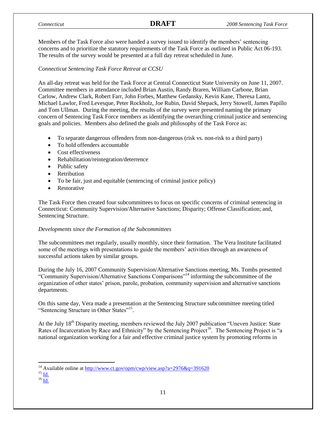Members of the Task Force also were handed a survey issued to identify the members' sentencing concerns and to prioritize the statutory requirements of the Task Force as outlined in Public Act 06-193. The results of the survey would be presented at a full day retreat scheduled in June.

### *Connecticut Sentencing Task Force Retreat at CCSU*

An all-day retreat was held for the Task Force at Central Connecticut State University on June 11, 2007. Committee members in attendance included Brian Austin, Randy Braren, William Carbone, Brian Carlow, Andrew Clark, Robert Farr, John Forbes, Matthew Gedansky, Kevin Kane, Theresa Lantz, Michael Lawlor, Fred Levesque, Peter Rockholz, Joe Rubin, David Shepack, Jerry Stowell, James Papillo and Tom Ullman. During the meeting, the results of the survey were presented naming the primary concern of Sentencing Task Force members as identifying the overarching criminal justice and sentencing goals and policies. Members also defined the goals and philosophy of the Task Force as:

- To separate dangerous offenders from non-dangerous (risk vs. non-risk to a third party)
- To hold offenders accountable
- Cost effectiveness
- Rehabilitation/reintegration/deterrence
- Public safety
- Retribution
- To be fair, just and equitable (sentencing of criminal justice policy)
- Restorative

The Task Force then created four subcommittees to focus on specific concerns of criminal sentencing in Connecticut: Community Supervision/Alternative Sanctions; Disparity; Offense Classification; and, Sentencing Structure.

#### *Developments since the Formation of the Subcommittees*

The subcommittees met regularly, usually monthly, since their formation. The Vera Institute facilitated some of the meetings with presentations to guide the members' activities through an awareness of successful actions taken by similar groups.

During the July 16, 2007 Community Supervision/Alternative Sanctions meeting, Ms. Tombs presented "Community Supervision/Alternative Sanctions Comparisons"<sup>14</sup> informing the subcommittee of the organization of other states' prison, parole, probation, community supervision and alternative sanctions departments.

On this same day, Vera made a presentation at the Sentencing Structure subcommittee meeting titled "Sentencing Structure in Other States"<sup>15</sup>.

At the July 18<sup>th</sup> Disparity meeting, members reviewed the July 2007 publication "Uneven Justice: State Rates of Incarceration by Race and Ethnicity" by the Sentencing Project<sup>16</sup>. The Sentencing Project is "a national organization working for a fair and effective criminal justice system by promoting reforms in

 $^{15}$  [Id.](http://www.ct.gov/opm/cwp/view.asp?a=2976&q=391620)

 $\overline{\phantom{a}}$ <sup>14</sup> Available online at<http://www.ct.gov/opm/cwp/view.asp?a=2976&q=391620>

 $^{16}$  [Id.](http://www.ct.gov/opm/cwp/view.asp?a=2976&q=391620)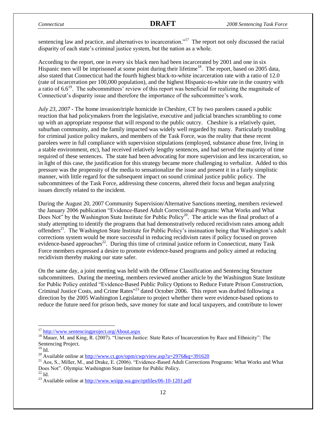sentencing law and practice, and alternatives to incarceration."<sup>17</sup> The report not only discussed the racial disparity of each state's criminal justice system, but the nation as a whole.

According to the report, one in every six black men had been incarcerated by 2001 and one in six Hispanic men will be imprisoned at some point during their lifetime<sup>18</sup>. The report, based on 2005 data, also stated that Connecticut had the fourth highest black-to-white incarceration rate with a ratio of 12.0 (rate of incarceration per 100,000 population), and the highest Hispanic-to-white rate in the country with a ratio of  $6.6^{19}$ . The subcommittees' review of this report was beneficial for realizing the magnitude of Connecticut's disparity issue and therefore the importance of the subcommittee's work.

*July 23, 2007* - The home invasion/triple homicide in Cheshire, CT by two parolees caused a public reaction that had policymakers from the legislative, executive and judicial branches scrambling to come up with an appropriate response that will respond to the public outcry. Cheshire is a relatively quiet, suburban community, and the family impacted was widely well regarded by many. Particularly troubling for criminal justice policy makers, and members of the Task Force, was the reality that these recent parolees were in full compliance with supervision stipulations (employed, substance abuse free, living in a stable environment, etc), had received relatively lengthy sentences, and had served the majority of time required of these sentences. The state had been advocating for more supervision and less incarceration, so in light of this case, the justification for this strategy became more challenging to verbalize. Added to this pressure was the propensity of the media to sensationalize the issue and present it in a fairly simplistic manner, with little regard for the subsequent impact on sound criminal justice public policy. The subcommittees of the Task Force, addressing these concerns, altered their focus and began analyzing issues directly related to the incident.

During the August 20, 2007 Community Supervision/Alternative Sanctions meeting, members reviewed the January 2006 publication "Evidence-Based Adult Correctional Programs: What Works and What Does Not" by the Washington State Institute for Public Policy<sup>20</sup>. The article was the final product of a study attempting to identify the programs that had demonstratively reduced recidivism rates among adult offenders<sup>21</sup>. The Washington State Institute for Public Policy's insinuation being that Washington's adult corrections system would be more successful in reducing recidivism rates if policy focused on proven evidence-based approaches<sup>22</sup>. During this time of criminal justice reform in Connecticut, many Task Force members expressed a desire to promote evidence-based programs and policy aimed at reducing recidivism thereby making our state safer.

On the same day, a joint meeting was held with the Offense Classification and Sentencing Structure subcommittees. During the meeting, members reviewed another article by the Washington State Institute for Public Policy entitled "Evidence-Based Public Policy Options to Reduce Future Prison Construction, Criminal Justice Costs, and Crime Rates<sup>"23</sup> dated October 2006. This report was drafted following a direction by the 2005 Washington Legislature to project whether there were evidence-based options to reduce the future need for prison beds, save money for state and local taxpayers, and contribute to lower

 $\overline{\phantom{a}}$ 

<sup>&</sup>lt;sup>17</sup> <http://www.sentencingproject.org/About.aspx>

<sup>&</sup>lt;sup>18</sup> Mauer, M. and King, R. (2007). "Uneven Justice: State Rates of Incarceration by Race and Ethnicity": The Sentencing Project.

 $19$  Id.

<sup>&</sup>lt;sup>20</sup> Available online at<http://www.ct.gov/opm/cwp/view.asp?a=2976&q=391620>

<sup>&</sup>lt;sup>21</sup> Aos, S., Miller, M., and Drake, E. (2006). "Evidence-Based Adult Corrections Programs: What Works and What Does Not"*.* Olympia: Washington State Institute for Public Policy.

 $^{22}$  Id.

<sup>&</sup>lt;sup>23</sup> Available online at<http://www.wsipp.wa.gov/rptfiles/06-10-1201.pdf>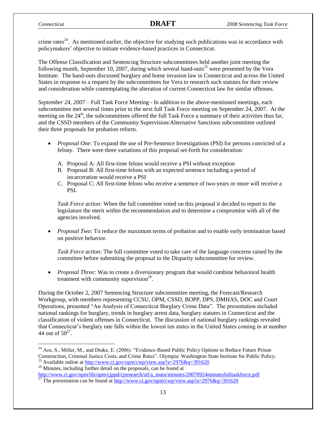l

crime rates<sup>24</sup>. As mentioned earlier, the objective for studying such publications was in accordance with policymakers' objective to initiate evidence-based practices in Connecticut.

The Offense Classification and Sentencing Structure subcommittees held another joint meeting the following month, September 10, 2007, during which several hand-outs<sup>25</sup> were presented by the Vera Institute. The hand-outs discussed burglary and home invasion law in Connecticut and across the United States in response to a request by the subcommittees for Vera to research such statutes for their review and consideration while contemplating the alteration of current Connecticut law for similar offenses.

*September 24, 2007 –* Full Task Force Meeting - In addition to the above-mentioned meetings, each subcommittee met several times prior to the next full Task Force meeting on September 24, 2007. At the meeting on the  $24<sup>th</sup>$ , the subcommittees offered the full Task Force a summary of their activities thus far, and the CSSD members of the Community Supervision/Alternative Sanctions subcommittee outlined their three proposals for probation reform.

- *Proposal One*: To expand the use of Pre-Sentence Investigations (PSI) for persons convicted of a felony. There were three variations of this proposal set-forth for consideration:
	- A. Proposal A: All first-time felons would receive a PSI without exception
	- B. Proposal B: All first-time felons with an expected sentence including a period of incarceration would receive a PSI
	- C. Proposal C: All first-time felons who receive a sentence of two-years or more will receive a PSI.

*Task Force action:* When the full committee voted on this proposal it decided to report to the legislature the merit within the recommendation and to determine a compromise with all of the agencies involved.

*Proposal Two:* To reduce the maximum terms of probation and to enable early termination based on positive behavior.

*Task Force action:* The full committee voted to take care of the language concerns raised by the committee before submitting the proposal to the Disparity subcommittee for review.

 *Proposal Three:* Was to create a diversionary program that would combine behavioral health treatment with community supervision $^{26}$ .

During the October 2, 2007 Sentencing Structure subcommittee meeting, the Forecast/Research Workgroup, with members representing CCSU, OPM, CSSD, BOPP, DPS, DMHAS, DOC and Court Operations, presented "An Analysis of Connecticut Burglary Crime Data". The presentation included national rankings for burglary, trends in burglary arrest data, burglary statutes in Connecticut and the classification of violent offenses in Connecticut. The discussion of national burglary rankings revealed that Connecticut's burglary rate falls within the lowest ten states in the United States coming in at number 44 out of  $50^{27}$ .

 $24$  Aos, S., Miller, M., and Drake, E. (2006). "Evidence-Based Public Policy Options to Reduce Future Prison Construction, Criminal Justice Costs, and Crime Rates". Olympia: Washington State Institute for Public Policy.

<sup>&</sup>lt;sup>25</sup> Available online at<http://www.ct.gov/opm/cwp/view.asp?a=2976&q=391620>  $26$  Minutes, including further detail on the proposals, can be found at [http://www.ct.gov/opm/lib/opm/cjppd/cjresearch/stf/a\\_main/minutes/20070924minutesfulltaskforce.pdf](http://www.ct.gov/opm/lib/opm/cjppd/cjresearch/stf/a_main/minutes/20070924minutesfulltaskforce.pdf)

<sup>&</sup>lt;sup>27</sup> The presentation can be found at  $\frac{http://www.ct.gov/opm/cwp/view.asp?a=2976&q=391620}$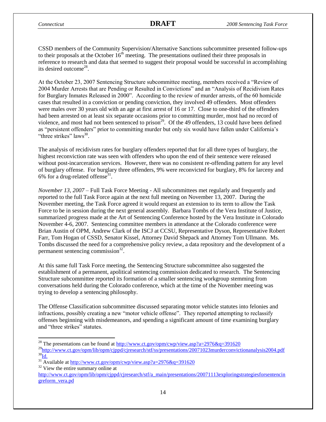CSSD members of the Community Supervision/Alternative Sanctions subcommittee presented follow-ups to their proposals at the October  $16<sup>th</sup>$  meeting. The presentations outlined their three proposals in reference to research and data that seemed to suggest their proposal would be successful in accomplishing its desired outcome<sup>28</sup>.

At the October 23, 2007 Sentencing Structure subcommittee meeting, members received a "Review of 2004 Murder Arrests that are Pending or Resulted in Convictions" and an "Analysis of Recidivism Rates for Burglary Inmates Released in 2000". According to the review of murder arrests, of the 60 homicide cases that resulted in a conviction or pending conviction, they involved 49 offenders. Most offenders were males over 30 years old with an age at first arrest of 16 or 17. Close to one-third of the offenders had been arrested on at least six separate occasions prior to committing murder, most had no record of violence, and most had not been sentenced to prison<sup>29</sup>. Of the 49 offenders, 13 could have been defined as "persistent offenders" prior to committing murder but only six would have fallen under California's "three strikes" laws $^{30}$ .

The analysis of recidivism rates for burglary offenders reported that for all three types of burglary, the highest reconviction rate was seen with offenders who upon the end of their sentence were released without post-incarceration services. However, there was no consistent re-offending pattern for any level of burglary offense. For burglary three offenders, 9% were reconvicted for burglary, 8% for larceny and 6% for a drug-related offense<sup>31</sup>.

*November 13, 2007* – Full Task Force Meeting - All subcommittees met regularly and frequently and reported to the full Task Force again at the next full meeting on November 13, 2007. During the November meeting, the Task Force agreed it would request an extension to its term to allow the Task Force to be in session during the next general assembly. Barbara Tombs of the Vera Institute of Justice, summarized progress made at the Art of Sentencing Conference hosted by the Vera Institute in Colorado November 4-6, 2007. Sentencing committee members in attendance at the Colorado conference were Brian Austin of OPM, Andrew Clark of the ISCJ at CCSU, Representative Dyson, Representative Robert Farr, Tom Hogan of CSSD, Senator Kissel, Attorney David Shepack and Attorney Tom Ullmann. Ms. Tombs discussed the need for a comprehensive policy review, a data repository and the development of a permanent sentencing commission<sup>32</sup>.

At this same full Task Force meeting, the Sentencing Structure subcommittee also suggested the establishment of a permanent, apolitical sentencing commission dedicated to research. The Sentencing Structure subcommittee reported its formation of a smaller sentencing workgroup stemming from conversations held during the Colorado conference, which at the time of the November meeting was trying to develop a sentencing philosophy.

The Offense Classification subcommittee discussed separating motor vehicle statutes into felonies and infractions, possibly creating a new "motor vehicle offense". They reported attempting to reclassify offenses beginning with misdemeanors, and spending a significant amount of time examining burglary and "three strikes" statutes.

<sup>32</sup> View the entire summary online at

 $\overline{\phantom{a}}$ <sup>28</sup> The presentations can be found at  $\frac{http://www.ct.gov/opm/cwp/view.asp?a=2976&q=391620}$ 

<sup>&</sup>lt;sup>29</sup><http://www.ct.gov/opm/lib/opm/cjppd/cjresearch/stf/ss/presentations/20071023murderconvictionanalysis2004.pdf>  $30$ <sub>[Id.](http://www.ct.gov/opm/lib/opm/cjppd/cjresearch/stf/ss/presentations/20071023murderconvictionanalysis2004.pdf)</sub>

 $31$ <sup>31</sup> Available at<http://www.ct.gov/opm/cwp/view.asp?a=2976&q=391620>

[http://www.ct.gov/opm/lib/opm/cjppd/cjresearch/stf/a\\_main/presentations/20071113exploringstrategiesforsentencin](http://www.ct.gov/opm/lib/opm/cjppd/cjresearch/stf/a_main/presentations/20071113exploringstrategiesforsentencingreform_vera.pd) greform vera.pd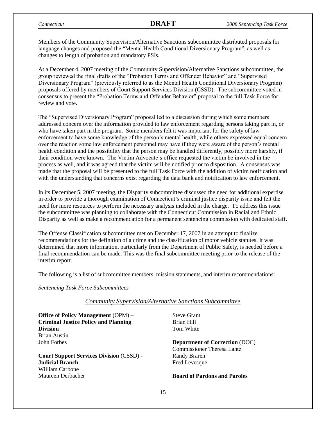Members of the Community Supervision/Alternative Sanctions subcommittee distributed proposals for language changes and proposed the "Mental Health Conditional Diversionary Program", as well as changes to length of probation and mandatory PSIs.

At a December 4, 2007 meeting of the Community Supervision/Alternative Sanctions subcommittee, the group reviewed the final drafts of the "Probation Terms and Offender Behavior" and "Supervised Diversionary Program" (previously referred to as the Mental Health Conditional Diversionary Program) proposals offered by members of Court Support Services Division (CSSD). The subcommittee voted in consensus to present the "Probation Terms and Offender Behavior" proposal to the full Task Force for review and vote.

The "Supervised Diversionary Program" proposal led to a discussion during which some members addressed concern over the information provided to law enforcement regarding persons taking part in, or who have taken part in the program. Some members felt it was important for the safety of law enforcement to have some knowledge of the person's mental health, while others expressed equal concern over the reaction some law enforcement personnel may have if they were aware of the person's mental health condition and the possibility that the person may be handled differently, possibly more harshly, if their condition were known. The Victim Advocate's office requested the victim be involved in the process as well, and it was agreed that the victim will be notified prior to disposition. A consensus was made that the proposal will be presented to the full Task Force with the addition of victim notification and with the understanding that concerns exist regarding the data bank and notification to law enforcement.

In its December 5, 2007 meeting, the Disparity subcommittee discussed the need for additional expertise in order to provide a thorough examination of Connecticut's criminal justice disparity issue and felt the need for more resources to perform the necessary analysis included in the charge. To address this issue the subcommittee was planning to collaborate with the Connecticut Commission in Racial and Ethnic Disparity as well as make a recommendation for a permanent sentencing commission with dedicated staff.

The Offense Classification subcommittee met on December 17, 2007 in an attempt to finalize recommendations for the definition of a crime and the classification of motor vehicle statutes. It was determined that more information, particularly from the Department of Public Safety, is needed before a final recommendation can be made. This was the final subcommittee meeting prior to the release of the interim report.

The following is a list of subcommittee members, mission statements, and interim recommendations:

*Sentencing Task Force Subcommittees*

#### *Community Supervision/Alternative Sanctions Subcommittee*

**Office of Policy Management** (OPM) – **Criminal Justice Policy and Planning Division** Brian Austin John Forbes

**Court Support Services Division** (CSSD) - **Judicial Branch** William Carbone Maureen Derbacher

Steve Grant Brian Hill Tom White

**Department of Correction** (DOC) Commissioner Theresa Lantz Randy Braren Fred Levesque

#### **Board of Pardons and Paroles**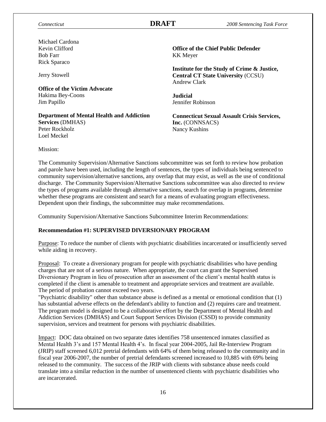Michael Cardona Kevin Clifford Bob Farr Rick Sparaco

Jerry Stowell

**Office of the Victim Advocate** Hakima Bey-Coons Jim Papillo

**Department of Mental Health and Addiction Services** (DMHAS) Peter Rockholz Loel Meckel

**Office of the Chief Public Defender** KK Meyer

**Institute for the Study of Crime & Justice, Central CT State University** (CCSU) Andrew Clark

**Judicial** Jennifer Robinson

**Connecticut Sexual Assault Crisis Services, Inc.** (CONNSACS) Nancy Kushins

Mission:

The Community Supervision/Alternative Sanctions subcommittee was set forth to review how probation and parole have been used, including the length of sentences, the types of individuals being sentenced to community supervision/alternative sanctions, any overlap that may exist, as well as the use of conditional discharge. The Community Supervision/Alternative Sanctions subcommittee was also directed to review the types of programs available through alternative sanctions, search for overlap in programs, determine whether these programs are consistent and search for a means of evaluating program effectiveness. Dependent upon their findings, the subcommittee may make recommendations.

Community Supervision/Alternative Sanctions Subcommittee Interim Recommendations:

#### **Recommendation #1: SUPERVISED DIVERSIONARY PROGRAM**

Purpose: To reduce the number of clients with psychiatric disabilities incarcerated or insufficiently served while aiding in recovery.

Proposal: To create a diversionary program for people with psychiatric disabilities who have pending charges that are not of a serious nature. When appropriate, the court can grant the Supervised Diversionary Program in lieu of prosecution after an assessment of the client's mental health status is completed if the client is amenable to treatment and appropriate services and treatment are available. The period of probation cannot exceed two years.

"Psychiatric disability" other than substance abuse is defined as a mental or emotional condition that (1) has substantial adverse effects on the defendant's ability to function and (2) requires care and treatment. The program model is designed to be a collaborative effort by the Department of Mental Health and Addiction Services (DMHAS) and Court Support Services Division (CSSD) to provide community supervision, services and treatment for persons with psychiatric disabilities.

Impact: DOC data obtained on two separate dates identifies 758 unsentenced inmates classified as Mental Health 3's and 157 Mental Health 4's. In fiscal year 2004-2005, Jail Re-Interview Program (JRIP) staff screened 6,012 pretrial defendants with 64% of them being released to the community and in fiscal year 2006-2007, the number of pretrial defendants screened increased to 10,885 with 69% being released to the community. The success of the JRIP with clients with substance abuse needs could translate into a similar reduction in the number of unsentenced clients with psychiatric disabilities who are incarcerated.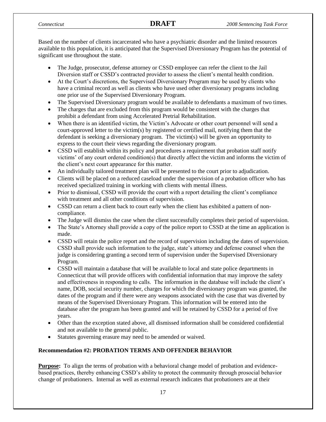Based on the number of clients incarcerated who have a psychiatric disorder and the limited resources available to this population, it is anticipated that the Supervised Diversionary Program has the potential of significant use throughout the state.

- The Judge, prosecutor, defense attorney or CSSD employee can refer the client to the Jail Diversion staff or CSSD's contracted provider to assess the client's mental health condition.
- At the Court's discretions, the Supervised Diversionary Program may be used by clients who have a criminal record as well as clients who have used other diversionary programs including one prior use of the Supervised Diversionary Program.
- The Supervised Diversionary program would be available to defendants a maximum of two times.
- The charges that are excluded from this program would be consistent with the charges that prohibit a defendant from using Accelerated Pretrial Rehabilitation.
- When there is an identified victim, the Victim's Advocate or other court personnel will send a court-approved letter to the victim(s) by registered or certified mail, notifying them that the defendant is seeking a diversionary program. The victim(s) will be given an opportunity to express to the court their views regarding the diversionary program.
- CSSD will establish within its policy and procedures a requirement that probation staff notify victims' of any court ordered condition(s) that directly affect the victim and informs the victim of the client's next court appearance for this matter.
- An individually tailored treatment plan will be presented to the court prior to adjudication.
- Clients will be placed on a reduced caseload under the supervision of a probation officer who has received specialized training in working with clients with mental illness.
- Prior to dismissal, CSSD will provide the court with a report detailing the client's compliance with treatment and all other conditions of supervision.
- CSSD can return a client back to court early when the client has exhibited a pattern of noncompliance.
- The Judge will dismiss the case when the client successfully completes their period of supervision.
- The State's Attorney shall provide a copy of the police report to CSSD at the time an application is made.
- CSSD will retain the police report and the record of supervision including the dates of supervision. CSSD shall provide such information to the judge, state's attorney and defense counsel when the judge is considering granting a second term of supervision under the Supervised Diversionary Program.
- CSSD will maintain a database that will be available to local and state police departments in Connecticut that will provide officers with confidential information that may improve the safety and effectiveness in responding to calls. The information in the database will include the client's name, DOB, social security number, charges for which the diversionary program was granted, the dates of the program and if there were any weapons associated with the case that was diverted by means of the Supervised Diversionary Program. This information will be entered into the database after the program has been granted and will be retained by CSSD for a period of five years.
- Other than the exception stated above, all dismissed information shall be considered confidential and not available to the general public.
- Statutes governing erasure may need to be amended or waived.

### **Recommendation #2: PROBATION TERMS AND OFFENDER BEHAVIOR**

**Purpose:** To align the terms of probation with a behavioral change model of probation and evidencebased practices, thereby enhancing CSSD's ability to protect the community through prosocial behavior change of probationers. Internal as well as external research indicates that probationers are at their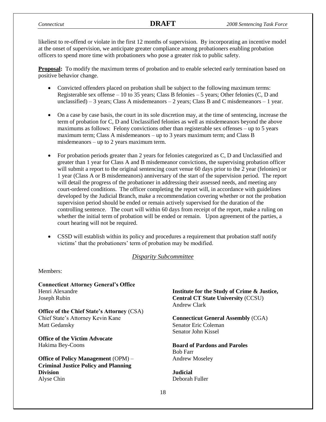likeliest to re-offend or violate in the first 12 months of supervision. By incorporating an incentive model at the onset of supervision, we anticipate greater compliance among probationers enabling probation officers to spend more time with probationers who pose a greater risk to public safety.

**Proposal:** To modify the maximum terms of probation and to enable selected early termination based on positive behavior change.

- Convicted offenders placed on probation shall be subject to the following maximum terms: Registerable sex offense  $-10$  to 35 years; Class B felonies  $-5$  years; Other felonies (C, D and unclassified) – 3 years; Class A misdemeanors – 2 years; Class B and C misdemeanors – 1 year.
- On a case by case basis, the court in its sole discretion may, at the time of sentencing, increase the term of probation for C, D and Unclassified felonies as well as misdemeanors beyond the above maximums as follows: Felony convictions other than registerable sex offenses – up to 5 years maximum term; Class A misdemeanors – up to 3 years maximum term; and Class B misdemeanors – up to 2 years maximum term.
- For probation periods greater than 2 years for felonies categorized as C, D and Unclassified and greater than 1 year for Class A and B misdemeanor convictions, the supervising probation officer will submit a report to the original sentencing court venue 60 days prior to the 2 year (felonies) or 1 year (Class A or B misdemeanors) anniversary of the start of the supervision period. The report will detail the progress of the probationer in addressing their assessed needs, and meeting any court-ordered conditions. The officer completing the report will, in accordance with guidelines developed by the Judicial Branch, make a recommendation covering whether or not the probation supervision period should be ended or remain actively supervised for the duration of the controlling sentence. The court will within 60 days from receipt of the report, make a ruling on whether the initial term of probation will be ended or remain. Upon agreement of the parties, a court hearing will not be required.
- CSSD will establish within its policy and procedures a requirement that probation staff notify victims' that the probationers' term of probation may be modified.

#### *Disparity Subcommittee*

Members:

**Connecticut Attorney General's Office**  Henri Alexandre Joseph Rubin

**Office of the Chief State's Attorney** (CSA) Chief State's Attorney Kevin Kane Matt Gedansky

**Office of the Victim Advocate** Hakima Bey-Coons

**Office of Policy Management** (OPM) – **Criminal Justice Policy and Planning Division** Alyse Chin

**Institute for the Study of Crime & Justice, Central CT State University** (CCSU) Andrew Clark

**Connecticut General Assembly** (CGA) Senator Eric Coleman Senator John Kissel

**Board of Pardons and Paroles** Bob Farr Andrew Moseley

**Judicial** Deborah Fuller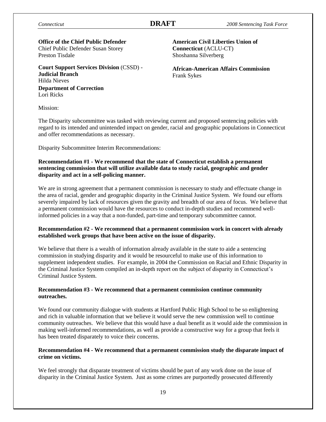#### **Office of the Chief Public Defender** Chief Public Defender Susan Storey Preston Tisdale

**Court Support Services Division** (CSSD) - **Judicial Branch** Hilda Nieves **Department of Correction** Lori Ricks

**American Civil Liberties Union of Connecticut** (ACLU-CT) Shoshanna Silverberg

**African-American Affairs Commission** Frank Sykes

Mission:

The Disparity subcommittee was tasked with reviewing current and proposed sentencing policies with regard to its intended and unintended impact on gender, racial and geographic populations in Connecticut and offer recommendations as necessary.

Disparity Subcommittee Interim Recommendations:

#### **Recommendation #1 - We recommend that the state of Connecticut establish a permanent sentencing commission that will utilize available data to study racial, geographic and gender disparity and act in a self-policing manner.**

We are in strong agreement that a permanent commission is necessary to study and effectuate change in the area of racial, gender and geographic disparity in the Criminal Justice System. We found our efforts severely impaired by lack of resources given the gravity and breadth of our area of focus. We believe that a permanent commission would have the resources to conduct in-depth studies and recommend wellinformed policies in a way that a non-funded, part-time and temporary subcommittee cannot.

#### **Recommendation #2 - We recommend that a permanent commission work in concert with already established work groups that have been active on the issue of disparity.**

We believe that there is a wealth of information already available in the state to aide a sentencing commission in studying disparity and it would be resourceful to make use of this information to supplement independent studies. For example, in 2004 the Commission on Racial and Ethnic Disparity in the Criminal Justice System compiled an in-depth report on the subject of disparity in Connecticut's Criminal Justice System.

#### **Recommendation #3 - We recommend that a permanent commission continue community outreaches.**

We found our community dialogue with students at Hartford Public High School to be so enlightening and rich in valuable information that we believe it would serve the new commission well to continue community outreaches. We believe that this would have a dual benefit as it would aide the commission in making well-informed recommendations, as well as provide a constructive way for a group that feels it has been treated disparately to voice their concerns.

### **Recommendation #4 - We recommend that a permanent commission study the disparate impact of crime on victims.**

We feel strongly that disparate treatment of victims should be part of any work done on the issue of disparity in the Criminal Justice System. Just as some crimes are purportedly prosecuted differently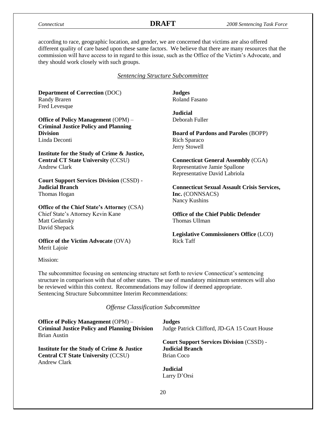according to race, geographic location, and gender, we are concerned that victims are also offered different quality of care based upon these same factors. We believe that there are many resources that the commission will have access to in regard to this issue, such as the Office of the Victim's Advocate, and they should work closely with such groups.

#### *Sentencing Structure Subcommittee*

**Department of Correction** (DOC) Randy Braren Fred Levesque

**Office of Policy Management** (OPM) – **Criminal Justice Policy and Planning Division** Linda Deconti

**Institute for the Study of Crime & Justice, Central CT State University** (CCSU) Andrew Clark

**Court Support Services Division** (CSSD) - **Judicial Branch** Thomas Hogan

**Office of the Chief State's Attorney** (CSA)

Chief State's Attorney Kevin Kane Matt Gedansky David Shepack

**Office of the Victim Advocate** (OVA) Merit Lajoie

Mission:

The subcommittee focusing on sentencing structure set forth to review Connecticut's sentencing structure in comparison with that of other states. The use of mandatory minimum sentences will also be reviewed within this context. Recommendations may follow if deemed appropriate. Sentencing Structure Subcommittee Interim Recommendations:

*Offense Classification Subcommittee*

| <b>Office of Policy Management (OPM) –</b>           | <b>Judges</b>                                   |
|------------------------------------------------------|-------------------------------------------------|
| <b>Criminal Justice Policy and Planning Division</b> | Judge Patrick Clifford, JD-GA 15 Court House    |
| Brian Austin                                         |                                                 |
|                                                      | <b>Court Support Services Division (CSSD) -</b> |
| Institute for the Study of Crime & Justice           | <b>Judicial Branch</b>                          |
| <b>Central CT State University (CCSU)</b>            | Brian Coco                                      |
| <b>Andrew Clark</b>                                  |                                                 |
|                                                      | <b>Judicial</b>                                 |
|                                                      | Larry D'Orsi                                    |

**Judges** Roland Fasano

**Judicial** Deborah Fuller

**Board of Pardons and Paroles** (BOPP) Rich Sparaco Jerry Stowell

**Connecticut General Assembly** (CGA) Representative Jamie Spallone Representative David Labriola

**Connecticut Sexual Assault Crisis Services, Inc.** (CONNSACS) Nancy Kushins

**Office of the Chief Public Defender** Thomas Ullman

**Legislative Commissioners Office** (LCO) Rick Taff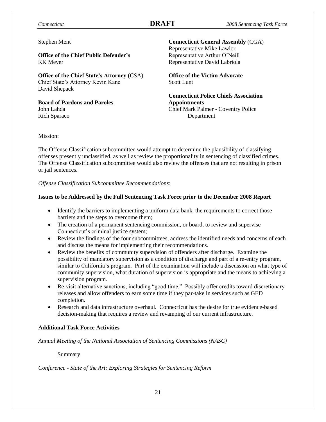#### Stephen Ment

**Office of the Chief Public Defender's** KK Meyer

**Office of the Chief State's Attorney** (CSA) Chief State's Attorney Kevin Kane David Shepack

**Board of Pardons and Paroles** John Lahda Rich Sparaco

**Connecticut General Assembly** (CGA) Representative Mike Lawlor Representative Arthur O'Neill Representative David Labriola

**Office of the Victim Advocate** Scott Lunt

**Connecticut Police Chiefs Association Appointments** Chief Mark Palmer - Coventry Police Department

#### Mission:

The Offense Classification subcommittee would attempt to determine the plausibility of classifying offenses presently unclassified, as well as review the proportionality in sentencing of classified crimes. The Offense Classification subcommittee would also review the offenses that are not resulting in prison or jail sentences.

*Offense Classification Subcommittee Recommendations*:

#### **Issues to be Addressed by the Full Sentencing Task Force prior to the December 2008 Report**

- Identify the barriers to implementing a uniform data bank, the requirements to correct those barriers and the steps to overcome them;
- The creation of a permanent sentencing commission, or board, to review and supervise Connecticut's criminal justice system;
- Review the findings of the four subcommittees, address the identified needs and concerns of each and discuss the means for implementing their recommendations.
- Review the benefits of community supervision of offenders after discharge. Examine the possibility of mandatory supervision as a condition of discharge and part of a re-entry program, similar to California's program. Part of the examination will include a discussion on what type of community supervision, what duration of supervision is appropriate and the means to achieving a supervision program.
- Re-visit alternative sanctions, including "good time." Possibly offer credits toward discretionary releases and allow offenders to earn some time if they par-take in services such as GED completion.
- Research and data infrastructure overhaul. Connecticut has the desire for true evidence-based decision-making that requires a review and revamping of our current infrastructure.

#### **Additional Task Force Activities**

*Annual Meeting of the National Association of Sentencing Commissions (NASC)*

Summary

*Conference - State of the Art: Exploring Strategies for Sentencing Reform*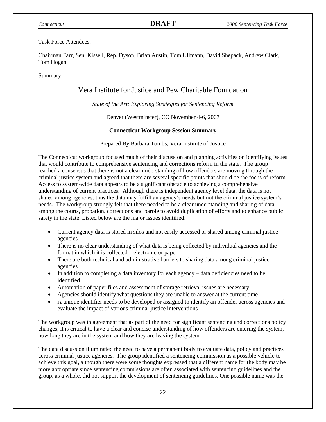#### Task Force Attendees:

Chairman Farr, Sen. Kissell, Rep. Dyson, Brian Austin, Tom Ullmann, David Shepack, Andrew Clark, Tom Hogan

Summary:

# Vera Institute for Justice and Pew Charitable Foundation

*State of the Art: Exploring Strategies for Sentencing Reform*

Denver (Westminster), CO November 4-6, 2007

### **Connecticut Workgroup Session Summary**

Prepared By Barbara Tombs, Vera Institute of Justice

The Connecticut workgroup focused much of their discussion and planning activities on identifying issues that would contribute to comprehensive sentencing and corrections reform in the state. The group reached a consensus that there is not a clear understanding of how offenders are moving through the criminal justice system and agreed that there are several specific points that should be the focus of reform. Access to system-wide data appears to be a significant obstacle to achieving a comprehensive understanding of current practices. Although there is independent agency level data, the data is not shared among agencies, thus the data may fulfill an agency's needs but not the criminal justice system's needs. The workgroup strongly felt that there needed to be a clear understanding and sharing of data among the courts, probation, corrections and parole to avoid duplication of efforts and to enhance public safety in the state. Listed below are the major issues identified:

- Current agency data is stored in silos and not easily accessed or shared among criminal justice agencies
- There is no clear understanding of what data is being collected by individual agencies and the format in which it is collected – electronic or paper
- There are both technical and administrative barriers to sharing data among criminal justice agencies
- In addition to completing a data inventory for each agency data deficiencies need to be identified
- Automation of paper files and assessment of storage retrieval issues are necessary
- Agencies should identify what questions they are unable to answer at the current time
- A unique identifier needs to be developed or assigned to identify an offender across agencies and evaluate the impact of various criminal justice interventions

The workgroup was in agreement that as part of the need for significant sentencing and corrections policy changes, it is critical to have a clear and concise understanding of how offenders are entering the system, how long they are in the system and how they are leaving the system.

The data discussion illuminated the need to have a permanent body to evaluate data, policy and practices across criminal justice agencies. The group identified a sentencing commission as a possible vehicle to achieve this goal, although there were some thoughts expressed that a different name for the body may be more appropriate since sentencing commissions are often associated with sentencing guidelines and the group, as a whole, did not support the development of sentencing guidelines. One possible name was the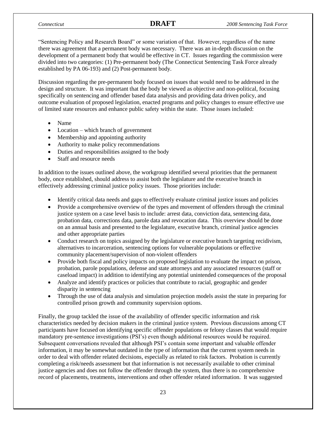"Sentencing Policy and Research Board" or some variation of that. However, regardless of the name there was agreement that a permanent body was necessary. There was an in-depth discussion on the development of a permanent body that would be effective in CT. Issues regarding the commission were divided into two categories: (1) Pre-permanent body (The Connecticut Sentencing Task Force already established by PA 06-193) and (2) Post-permanent body.

Discussion regarding the pre-permanent body focused on issues that would need to be addressed in the design and structure. It was important that the body be viewed as objective and non-political, focusing specifically on sentencing and offender based data analysis and providing data driven policy, and outcome evaluation of proposed legislation, enacted programs and policy changes to ensure effective use of limited state resources and enhance public safety within the state. Those issues included:

- Name
- Location which branch of government
- Membership and appointing authority
- Authority to make policy recommendations
- Duties and responsibilities assigned to the body
- Staff and resource needs

In addition to the issues outlined above, the workgroup identified several priorities that the permanent body, once established, should address to assist both the legislature and the executive branch in effectively addressing criminal justice policy issues. Those priorities include:

- Identify critical data needs and gaps to effectively evaluate criminal justice issues and policies
- Provide a comprehensive overview of the types and movement of offenders through the criminal justice system on a case level basis to include: arrest data, conviction data, sentencing data, probation data, corrections data, parole data and revocation data. This overview should be done on an annual basis and presented to the legislature, executive branch, criminal justice agencies and other appropriate parties
- Conduct research on topics assigned by the legislature or executive branch targeting recidivism, alternatives to incarceration, sentencing options for vulnerable populations or effective community placement/supervision of non-violent offenders
- Provide both fiscal and policy impacts on proposed legislation to evaluate the impact on prison, probation, parole populations, defense and state attorneys and any associated resources (staff or caseload impact) in addition to identifying any potential unintended consequences of the proposal
- Analyze and identify practices or policies that contribute to racial, geographic and gender disparity in sentencing
- Through the use of data analysis and simulation projection models assist the state in preparing for controlled prison growth and community supervision options.

Finally, the group tackled the issue of the availability of offender specific information and risk characteristics needed by decision makers in the criminal justice system. Previous discussions among CT participants have focused on identifying specific offender populations or felony classes that would require mandatory pre-sentence investigations (PSI's) even though additional resources would be required. Subsequent conversations revealed that although PSI's contain some important and valuable offender information, it may be somewhat outdated in the type of information that the current system needs in order to deal with offender related decisions, especially as related to risk factors. Probation is currently completing a risk/needs assessment but that information is not necessarily available to other criminal justice agencies and does not follow the offender through the system, thus there is no comprehensive record of placements, treatments, interventions and other offender related information. It was suggested